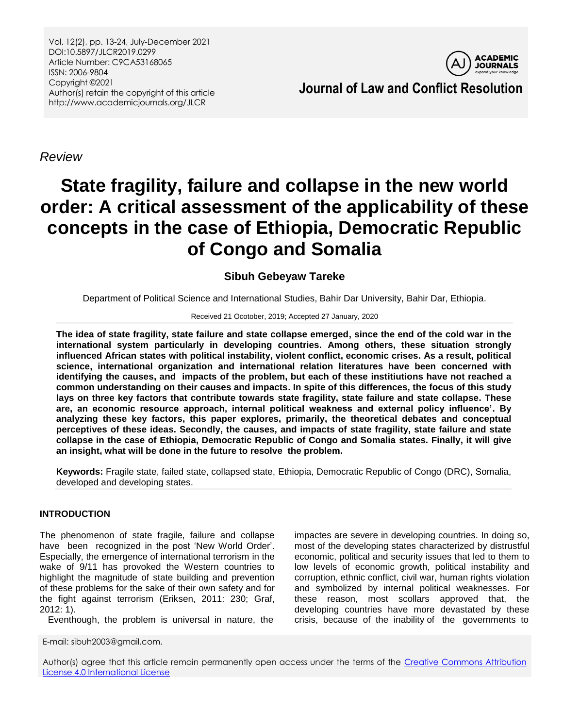Vol. 12(2), pp. 13-24, July-December 2021 DOI:10.5897/JLCR2019.0299 Article Number: C9CA53168065 ISSN: 2006-9804 Copyright ©2021 Author(s) retain the copyright of this article http://www.academicjournals.org/JLCR



*Review*

# **State fragility, failure and collapse in the new world order: A critical assessment of the applicability of these concepts in the case of Ethiopia, Democratic Republic of Congo and Somalia**

# **Sibuh Gebeyaw Tareke**

Department of Political Science and International Studies, Bahir Dar University, Bahir Dar, Ethiopia.

#### Received 21 Ocotober, 2019; Accepted 27 January, 2020

**The idea of state fragility, state failure and state collapse emerged, since the end of the cold war in the international system particularly in developing countries. Among others, these situation strongly influenced African states with political instability, violent conflict, economic crises. As a result, political science, international organization and international relation literatures have been concerned with identifying the causes, and impacts of the problem, but each of these institiutions have not reached a common understanding on their causes and impacts. In spite of this differences, the focus of this study lays on three key factors that contribute towards state fragility, state failure and state collapse. These are, an economic resource approach, internal political weakness and external policy influence'. By analyzing these key factors, this paper explores, primarily, the theoretical debates and conceptual perceptives of these ideas. Secondly, the causes, and impacts of state fragility, state failure and state collapse in the case of Ethiopia, Democratic Republic of Congo and Somalia states. Finally, it will give an insight, what will be done in the future to resolve the problem.**

**Keywords:** Fragile state, failed state, collapsed state, Ethiopia, Democratic Republic of Congo (DRC), Somalia, developed and developing states.

## **INTRODUCTION**

The phenomenon of state fragile, failure and collapse have been recognized in the post 'New World Order'. Especially, the emergence of international terrorism in the wake of 9/11 has provoked the Western countries to highlight the magnitude of state building and prevention of these problems for the sake of their own safety and for the fight against terrorism (Eriksen, 2011: 230; Graf, 2012: 1).

Eventhough, the problem is universal in nature, the

E-mail: sibuh2003@gmail.com.

impactes are severe in developing countries. In doing so, most of the developing states characterized by distrustful economic, political and security issues that led to them to low levels of economic growth, political instability and corruption, ethnic conflict, civil war, human rights violation and symbolized by internal political weaknesses. For these reason, most scollars approved that, the developing countries have more devastated by these crisis, because of the inability of the governments to

Author(s) agree that this article remain permanently open access under the terms of the Creative Commons Attribution [License 4.0 International License](http://creativecommons.org/licenses/by/4.0/deed.en_US)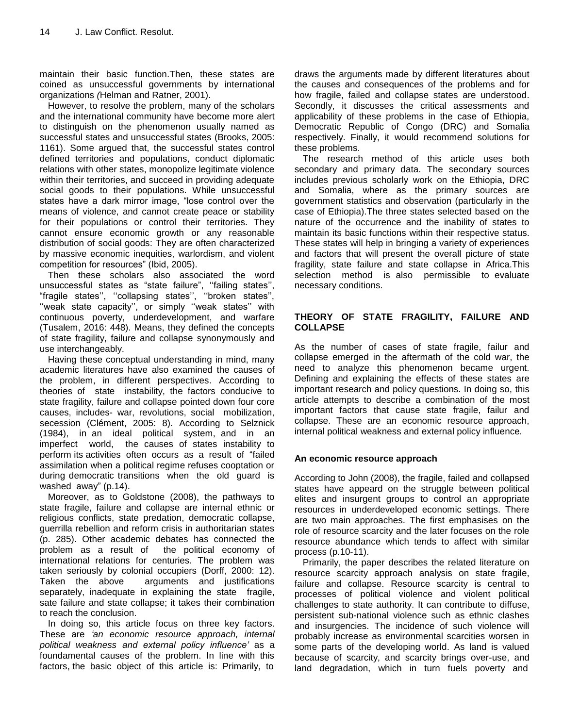maintain their basic function.Then, these states are coined as unsuccessful governments by international organizations *(*Helman and Ratner, 2001).

However, to resolve the problem, many of the scholars and the international community have become more alert to distinguish on the phenomenon usually named as successful states and unsuccessful states (Brooks, 2005: 1161). Some argued that, the successful states control defined territories and populations, conduct diplomatic relations with other states, monopolize legitimate violence within their territories, and succeed in providing adequate social goods to their populations. While unsuccessful states have a dark mirror image, "lose control over the means of violence, and cannot create peace or stability for their populations or control their territories. They cannot ensure economic growth or any reasonable distribution of social goods: They are often characterized by massive economic inequities, warlordism, and violent competition for resources" (Ibid, 2005).

Then these scholars also associated the word unsuccessful states as "state failure", "failing states", "fragile states", "collapsing states", "broken states", "weak state capacity", or simply "weak states" with continuous poverty, underdevelopment, and warfare (Tusalem, 2016: 448). Means, they defined the concepts of state fragility, failure and collapse synonymously and use interchangeably.

Having these conceptual understanding in mind, many academic literatures have also examined the causes of the problem, in different perspectives. According to theories of state instability, the factors conducive to state fragility, failure and collapse pointed down four core causes, includes- war, revolutions, social mobilization, secession (Clément, 2005: 8). According to Selznick (1984), in an ideal political system, and in an imperfect world, the causes of states instability to perform its activities often occurs as a result of "failed assimilation when a political regime refuses cooptation or during democratic transitions when the old guard is washed away" (p.14).

Moreover, as to Goldstone (2008), the pathways to state fragile, failure and collapse are internal ethnic or religious conflicts, state predation, democratic collapse, guerrilla rebellion and reform crisis in authoritarian states (p. 285). Other academic debates has connected the problem as a result of the political economy of international relations for centuries. The problem was taken seriously by colonial occupiers (Dorff, 2000: 12). Taken the above arguments and justifications separately, inadequate in explaining the state fragile, sate failure and state collapse; it takes their combination to reach the conclusion.

In doing so, this article focus on three key factors. These are *"an economic resource approach, internal political weakness and external policy influence"* as a foundamental causes of the problem. In line with this factors, the basic object of this article is: Primarily, to

draws the arguments made by different literatures about the causes and consequences of the problems and for how fragile, failed and collapse states are understood. Secondly, it discusses the critical assessments and applicability of these problems in the case of Ethiopia, Democratic Republic of Congo (DRC) and Somalia respectively. Finally, it would recommend solutions for these problems.

The research method of this article uses both secondary and primary data. The secondary sources includes previous scholarly work on the Ethiopia, DRC and Somalia, where as the primary sources are government statistics and observation (particularly in the case of Ethiopia).The three states selected based on the nature of the occurrence and the inability of states to maintain its basic functions within their respective status. These states will help in bringing a variety of experiences and factors that will present the overall picture of state fragility, state failure and state collapse in Africa.This selection method is also permissible to evaluate necessary conditions.

#### **THEORY OF STATE FRAGILITY, FAILURE AND COLLAPSE**

As the number of cases of state fragile, failur and collapse emerged in the aftermath of the cold war, the need to analyze this phenomenon became urgent. Defining and explaining the effects of these states are important research and policy questions. In doing so, this article attempts to describe a combination of the most important factors that cause state fragile, failur and collapse. These are an economic resource approach, internal political weakness and external policy influence*.*

#### **An economic resource approach**

According to John (2008), the fragile, failed and collapsed states have appeard on the struggle between political elites and insurgent groups to control an appropriate resources in underdeveloped economic settings. There are two main approaches. The first emphasises on the role of resource scarcity and the later focuses on the role resource abundance which tends to affect with similar process (p.10-11).

Primarily, the paper describes the related literature on resource scarcity approach analysis on state fragile, failure and collapse. Resource scarcity is central to processes of political violence and violent political challenges to state authority. It can contribute to diffuse, persistent sub-national violence such as ethnic clashes and insurgencies. The incidence of such violence will probably increase as environmental scarcities worsen in some parts of the developing world. As land is valued because of scarcity, and scarcity brings over-use, and land degradation, which in turn fuels poverty and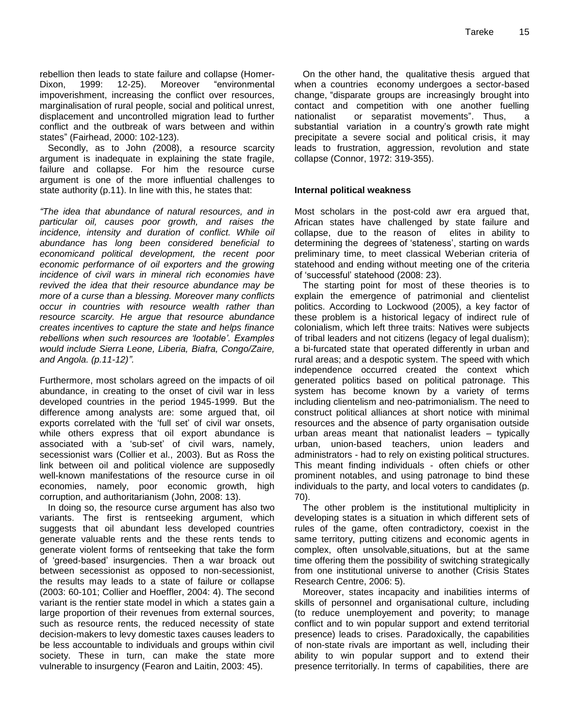rebellion then leads to state failure and collapse (Homer-Dixon, 1999: 12-25). Moreover "environmental impoverishment, increasing the conflict over resources, marginalisation of rural people, social and political unrest, displacement and uncontrolled migration lead to further conflict and the outbreak of wars between and within states" (Fairhead, 2000: 102-123).

Secondly, as to John *(*2008), a resource scarcity argument is inadequate in explaining the state fragile, failure and collapse. For him the resource curse argument is one of the more influential challenges to state authority (p.11). In line with this, he states that:

*"The idea that abundance of natural resources, and in particular oil, causes poor growth, and raises the incidence, intensity and duration of conflict. While oil abundance has long been considered beneficial to economicand political development, the recent poor economic performance of oil exporters and the growing incidence of civil wars in mineral rich economies have revived the idea that their resource abundance may be more of a curse than a blessing. Moreover many conflicts occur in countries with resource wealth rather than resource scarcity. He argue that resource abundance creates incentives to capture the state and helps finance rebellions when such resources are "lootable". Examples would include Sierra Leone, Liberia, Biafra, Congo/Zaire, and Angola. (p.11-12)".*

Furthermore, most scholars agreed on the impacts of oil abundance, in creating to the onset of civil war in less developed countries in the period 1945-1999. But the difference among analysts are: some argued that, oil exports correlated with the "full set" of civil war onsets, while others express that oil export abundance is associated with a 'sub-set' of civil wars, namely, secessionist wars (Collier et al., 2003). But as Ross the link between oil and political violence are supposedly well-known manifestations of the resource curse in oil economies, namely, poor economic growth, high corruption, and authoritarianism (John*,* 2008: 13).

In doing so, the resource curse argument has also two variants. The first is rentseeking argument, which suggests that oil abundant less developed countries generate valuable rents and the these rents tends to generate violent forms of rentseeking that take the form of "greed-based" insurgencies. Then a war broack out between secessionist as opposed to non-secessionist, the results may leads to a state of failure or collapse (2003: 60-101; Collier and Hoeffler, 2004: 4). The second variant is the rentier state model in which a states gain a large proportion of their revenues from external sources, such as resource rents, the reduced necessity of state decision-makers to levy domestic taxes causes leaders to be less accountable to individuals and groups within civil society. These in turn, can make the state more vulnerable to insurgency (Fearon and Laitin, 2003: 45).

On the other hand, the qualitative thesis argued that when a countries economy undergoes a sector-based change, "disparate groups are increasingly brought into contact and competition with one another fuelling nationalist or separatist movements". Thus, a substantial variation in a country's growth rate might precipitate a severe social and political crisis, it may leads to frustration, aggression, revolution and state collapse (Connor, 1972: 319-355).

#### **Internal political weakness**

Most scholars in the post-cold awr era argued that, African states have challenged by state failure and collapse, due to the reason of elites in ability to determining the degrees of "stateness", starting on wards preliminary time, to meet classical Weberian criteria of statehood and ending without meeting one of the criteria of "successful" statehood (2008: 23).

The starting point for most of these theories is to explain the emergence of patrimonial and clientelist politics. According to Lockwood (2005), a key factor of these problem is a historical legacy of indirect rule of colonialism, which left three traits: Natives were subjects of tribal leaders and not citizens (legacy of legal dualism); a bi-furcated state that operated differently in urban and rural areas; and a despotic system. The speed with which independence occurred created the context which generated politics based on political patronage. This system has become known by a variety of terms including clientelism and neo-patrimonialism. The need to construct political alliances at short notice with minimal resources and the absence of party organisation outside urban areas meant that nationalist leaders – typically urban, union-based teachers, union leaders and administrators - had to rely on existing political structures. This meant finding individuals - often chiefs or other prominent notables, and using patronage to bind these individuals to the party, and local voters to candidates (p. 70).

The other problem is the institutional multiplicity in developing states is a situation in which different sets of rules of the game, often contradictory, coexist in the same territory, putting citizens and economic agents in complex, often unsolvable,situations, but at the same time offering them the possibility of switching strategically from one institutional universe to another (Crisis States Research Centre, 2006: 5).

Moreover, states incapacity and inabilities interms of skills of personnel and organisational culture, including (to reduce unemployement and poverity; to manage conflict and to win popular support and extend territorial presence) leads to crises. Paradoxically, the capabilities of non-state rivals are important as well, including their ability to win popular support and to extend their presence territorially. In terms of capabilities, there are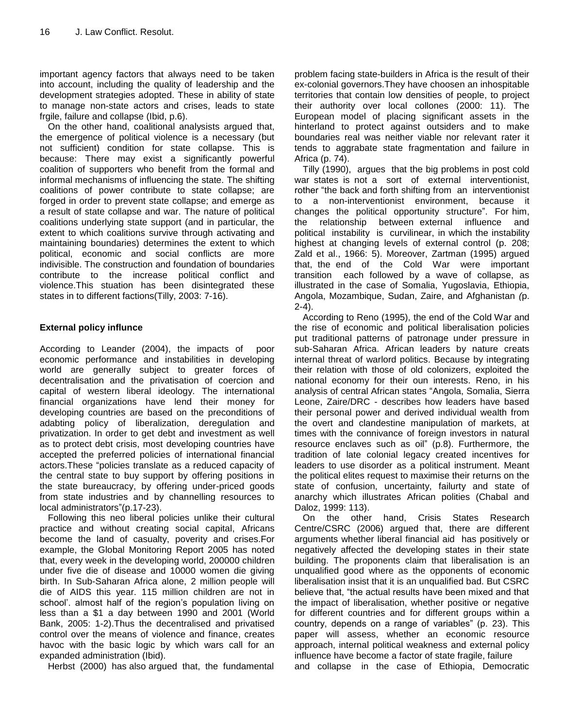important agency factors that always need to be taken into account, including the quality of leadership and the development strategies adopted. These in ability of state to manage non-state actors and crises, leads to state frgile, failure and collapse (Ibid, p.6).

On the other hand, coalitional analysists argued that, the emergence of political violence is a necessary (but not sufficient) condition for state collapse. This is because: There may exist a significantly powerful coalition of supporters who benefit from the formal and informal mechanisms of influencing the state. The shifting coalitions of power contribute to state collapse; are forged in order to prevent state collapse; and emerge as a result of state collapse and war. The nature of political coalitions underlying state support (and in particular, the extent to which coalitions survive through activating and maintaining boundaries) determines the extent to which political, economic and social conflicts are more indivisible. The construction and foundation of boundaries contribute to the increase political conflict and violence.This stuation has been disintegrated these states in to different factions(Tilly, 2003: 7-16).

## **External policy influnce**

According to Leander (2004), the impacts of poor economic performance and instabilities in developing world are generally subject to greater forces of decentralisation and the privatisation of coercion and capital of western liberal ideology. The international financial organizations have lend their money for developing countries are based on the preconditions of adabting policy of liberalization, deregulation and privatization. In order to get debt and investment as well as to protect debt crisis, most developing countries have accepted the preferred policies of international financial actors.These "policies translate as a reduced capacity of the central state to buy support by offering positions in the state bureaucracy, by offering under-priced goods from state industries and by channelling resources to local administrators"(p.17-23).

Following this neo liberal policies unlike their cultural practice and without creating social capital, Africans become the land of casualty, poverity and crises.For example, the Global Monitoring Report 2005 has noted that, every week in the developing world, 200000 children under five die of disease and 10000 women die giving birth. In Sub-Saharan Africa alone, 2 million people will die of AIDS this year. 115 million children are not in school'. almost half of the region's population living on less than a \$1 a day between 1990 and 2001 (World Bank, 2005: 1-2).Thus the decentralised and privatised control over the means of violence and finance, creates havoc with the basic logic by which wars call for an expanded administration (Ibid).

Herbst (2000) has also argued that, the fundamental

problem facing state-builders in Africa is the result of their ex-colonial governors.They have choosen an inhospitable territories that contain low densities of people, to project their authority over local collones (2000: 11). The European model of placing significant assets in the hinterland to protect against outsiders and to make boundaries real was neither viable nor relevant rater it tends to aggrabate state fragmentation and failure in Africa (p. 74).

Tilly (1990), argues that the big problems in post cold war states is not a sort of external interventionist, rother "the back and forth shifting from an interventionist to a non-interventionist environment, because it changes the political opportunity structure". For him, the relationship between external influence and political instability is curvilinear, in which the instability highest at changing levels of external control (p. 208; Zald et al., 1966: 5). Moreover, Zartman (1995) argued that, the end of the Cold War were important transition each followed by a wave of collapse, as illustrated in the case of Somalia, Yugoslavia, Ethiopia, Angola, Mozambique, Sudan, Zaire, and Afghanistan *(*p. 2-4).

According to Reno (1995), the end of the Cold War and the rise of economic and political liberalisation policies put traditional patterns of patronage under pressure in sub-Saharan Africa. African leaders by nature creats internal threat of warlord politics. Because by integrating their relation with those of old colonizers, exploited the national economy for their oun interests. Reno, in his analysis of central African states "Angola, Somalia, Sierra Leone, Zaire/DRC - describes how leaders have based their personal power and derived individual wealth from the overt and clandestine manipulation of markets, at times with the connivance of foreign investors in natural resource enclaves such as oil" (p.8). Furthermore, the tradition of late colonial legacy created incentives for leaders to use disorder as a political instrument. Meant the political elites request to maximise their returns on the state of confusion, uncertainty, failurty and state of anarchy which illustrates African polities (Chabal and Daloz, 1999: 113).

On the other hand, Crisis States Research Centre/CSRC (2006) argued that, there are different arguments whether liberal financial aid has positively or negatively affected the developing states in their state building. The proponents claim that liberalisation is an unqualified good where as the opponents of economic liberalisation insist that it is an unqualified bad. But CSRC believe that, "the actual results have been mixed and that the impact of liberalisation, whether positive or negative for different countries and for different groups within a country, depends on a range of variables" (p. 23). This paper will assess, whether an economic resource approach, internal political weakness and external policy influence have become a factor of state fragile, failure

and collapse in the case ofEthiopia, Democratic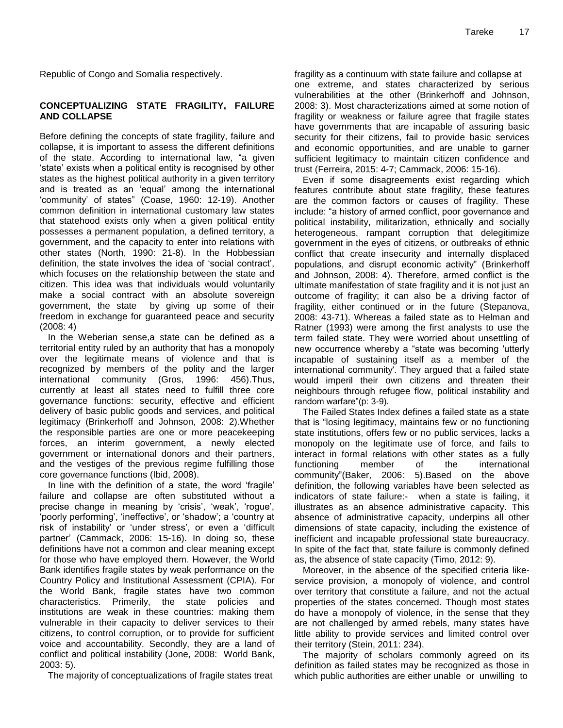Republic of Congo and Somalia respectively.

#### **CONCEPTUALIZING STATE FRAGILITY, FAILURE AND COLLAPSE**

Before defining the concepts of state fragility, failure and collapse, it is important to assess the different definitions of the state. According to international law, "a given "state" exists when a political entity is recognised by other states as the highest political authority in a given territory and is treated as an "equal" among the international "community" of states" (Coase, 1960: 12-19). Another common definition in international customary law states that statehood exists only when a given political entity possesses a permanent population, a defined territory, a government, and the capacity to enter into relations with other states (North, 1990: 21-8). In the Hobbessian definition, the state involves the idea of "social contract", which focuses on the relationship between the state and citizen. This idea was that individuals would voluntarily make a social contract with an absolute sovereign government, the state by giving up some of their freedom in exchange for guaranteed peace and security (2008: 4)

In the Weberian sense,a state can be defined as a territorial entity ruled by an authority that has a monopoly over the legitimate means of violence and that is recognized by members of the polity and the larger international community (Gros, 1996: 456).Thus, currently at least all states need to fulfill three core governance functions: security, effective and efficient delivery of basic public goods and services, and political legitimacy (Brinkerhoff and Johnson, 2008: 2).Whether the responsible parties are one or more peacekeeping forces, an interim government, a newly elected government or international donors and their partners, and the vestiges of the previous regime fulfilling those core governance functions (Ibid, 2008).

In line with the definition of a state, the word "fragile" failure and collapse are often substituted without a precise change in meaning by 'crisis', 'weak', 'roque', "poorly performing', 'ineffective', or 'shadow'; a 'country at risk of instability' or 'under stress', or even a 'difficult partner" (Cammack, 2006: 15-16). In doing so, these definitions have not a common and clear meaning except for those who have employed them. However, the World Bank identifies fragile states by weak performance on the Country Policy and Institutional Assessment (CPIA). For the World Bank, fragile states have two common characteristics. Primerily, the state policies and institutions are weak in these countries: making them vulnerable in their capacity to deliver services to their citizens, to control corruption, or to provide for sufficient voice and accountability. Secondly, they are a land of conflict and political instability (Jone, 2008: World Bank, 2003: 5).

The majority of conceptualizations of fragile states treat

fragility as a continuum with state failure and collapse at one extreme, and states characterized by serious vulnerabilities at the other (Brinkerhoff and Johnson, 2008: 3). Most characterizations aimed at some notion of fragility or weakness or failure agree that fragile states have governments that are incapable of assuring basic security for their citizens, fail to provide basic services and economic opportunities, and are unable to garner sufficient legitimacy to maintain citizen confidence and trust (Ferreira, 2015: 4-7; Cammack, 2006: 15-16).

Even if some disagreements exist regarding which features contribute about state fragility, these features are the common factors or causes of fragility. These include: "a history of armed conflict, poor governance and political instability, militarization, ethnically and socially heterogeneous, rampant corruption that delegitimize government in the eyes of citizens, or outbreaks of ethnic conflict that create insecurity and internally displaced populations, and disrupt economic activity" (Brinkerhoff and Johnson, 2008: 4). Therefore, armed conflict is the ultimate manifestation of state fragility and it is not just an outcome of fragility; it can also be a driving factor of fragility, either continued or in the future (Stepanova, 2008: 43-71). Whereas a failed state as to Helman and Ratner (1993) were among the first analysts to use the term failed state. They were worried about unsettling of new occurrence whereby a "state was becoming 'utterly incapable of sustaining itself as a member of the international community'. They argued that a failed state would imperil their own citizens and threaten their neighbours through refugee flow, political instability and random warfare"(p: 3-9)*.*

The Failed States Index defines a failed state as a state that is "losing legitimacy, maintains few or no functioning state institutions, offers few or no public services, lacks a monopoly on the legitimate use of force, and fails to interact in formal relations with other states as a fully functioning member of the international community"(Baker, 2006: 5).Based on the above definition, the following variables have been selected as indicators of state failure:- when a state is failing, it illustrates as an absence administrative capacity. This absence of administrative capacity, underpins all other dimensions of state capacity, including the existence of inefficient and incapable professional state bureaucracy. In spite of the fact that, state failure is commonly defined as, the absence of state capacity (Timo, 2012: 9).

Moreover, in the absence of the specified criteria likeservice provision, a monopoly of violence, and control over territory that constitute a failure, and not the actual properties of the states concerned. Though most states do have a monopoly of violence, in the sense that they are not challenged by armed rebels, many states have little ability to provide services and limited control over their territory (Stein, 2011: 234).

The majority of scholars commonly agreed on its definition as failed states may be recognized as those in which public authorities are either unable or unwilling to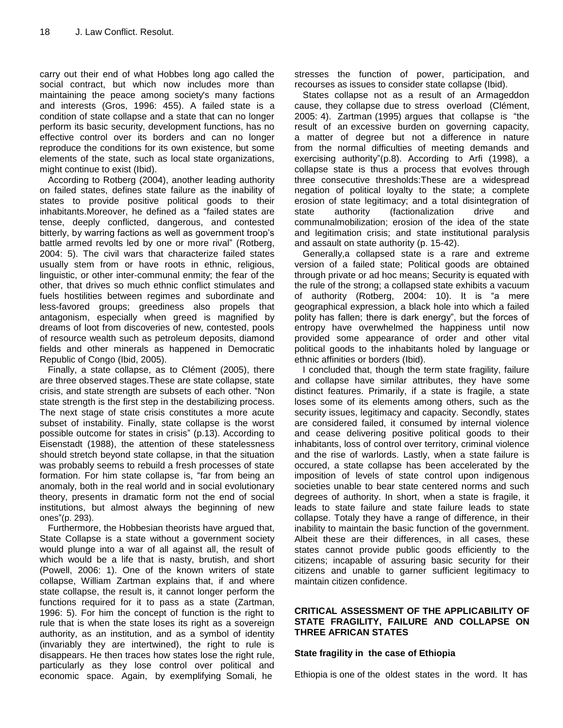carry out their end of what Hobbes long ago called the social contract, but which now includes more than maintaining the peace among society's many factions and interests (Gros, 1996: 455). A failed state is a condition of state collapse and a state that can no longer perform its basic security, development functions, has no effective control over its borders and can no longer reproduce the conditions for its own existence, but some elements of the state, such as local state organizations, might continue to exist (Ibid).

According to Rotberg (2004), another leading authority on failed states, defines state failure as the inability of states to provide positive political goods to their inhabitants.Moreover, he defined as a "failed states are tense, deeply conflicted, dangerous, and contested bitterly, by warring factions as well as government troop"s battle armed revolts led by one or more rival" (Rotberg, 2004: 5). The civil wars that characterize failed states usually stem from or have roots in ethnic, religious, linguistic, or other inter-communal enmity; the fear of the other, that drives so much ethnic conflict stimulates and fuels hostilities between regimes and subordinate and less-favored groups; greediness also propels that antagonism, especially when greed is magnified by dreams of loot from discoveries of new, contested, pools of resource wealth such as petroleum deposits, diamond fields and other minerals as happened in Democratic Republic of Congo (Ibid, 2005).

Finally, a state collapse, as to Clément (2005), there are three observed stages.These are state collapse, state crisis, and state strength are subsets of each other. "Non state strength is the first step in the destabilizing process. The next stage of state crisis constitutes a more acute subset of instability. Finally, state collapse is the worst possible outcome for states in crisis" (p.13). According to Eisenstadt (1988), the attention of these statelessness should stretch beyond state collapse, in that the situation was probably seems to rebuild a fresh processes of state formation. For him state collapse is, "far from being an anomaly, both in the real world and in social evolutionary theory, presents in dramatic form not the end of social institutions, but almost always the beginning of new ones"(p. 293).

Furthermore, the Hobbesian theorists have argued that, State Collapse is a state without a government society would plunge into a war of all against all, the result of which would be a life that is nasty, brutish, and short (Powell, 2006: 1). One of the known writers of state collapse, William Zartman explains that, if and where state collapse, the result is, it cannot longer perform the functions required for it to pass as a state (Zartman, 1996: 5). For him the concept of function is the right to rule that is when the state loses its right as a sovereign authority, as an institution, and as a symbol of identity (invariably they are intertwined), the right to rule is disappears. He then traces how states lose the right rule, particularly as they lose control over political and economic space. Again, by exemplifying Somali, he

stresses the function of power, participation, and recourses as issues to consider state collapse (Ibid).

States collapse not as a result of an Armageddon cause, they collapse due to stress overload (Clément, 2005: 4). Zartman (1995) argues that collapse is "the result of an excessive burden on governing capacity, a matter of degree but not a difference in nature from the normal difficulties of meeting demands and exercising authority"(p.8). According to Arfi (1998), a collapse state is thus a process that evolves through three consecutive thresholds:These are a widespread negation of political loyalty to the state; a complete erosion of state legitimacy; and a total disintegration of state authority (factionalization drive and communalmobilization; erosion of the idea of the state and legitimation crisis; and state institutional paralysis and assault on state authority (p. 15-42).

Generally,a collapsed state is a rare and extreme version of a failed state; Political goods are obtained through private or ad hoc means; Security is equated with the rule of the strong; a collapsed state exhibits a vacuum of authority (Rotberg, 2004: 10). It is "a mere geographical expression, a black hole into which a failed polity has fallen; there is dark energy", but the forces of entropy have overwhelmed the happiness until now provided some appearance of order and other vital political goods to the inhabitants holed by language or ethnic affinities or borders (Ibid).

I concluded that, though the term state fragility, failure and collapse have similar attributes, they have some distinct features. Primarily, if a state is fragile, a state loses some of its elements among others, such as the security issues, legitimacy and capacity. Secondly, states are considered failed, it consumed by internal violence and cease delivering positive political goods to their inhabitants, loss of control over territory, criminal violence and the rise of warlords. Lastly, when a state failure is occured, a state collapse has been accelerated by the imposition of levels of state control upon indigenous societies unable to bear state centered norms and such degrees of authority. In short, when a state is fragile, it leads to state failure and state failure leads to state collapse. Totaly they have a range of difference, in their inability to maintain the basic function of the government. Albeit these are their differences, in all cases, these states cannot provide public goods efficiently to the citizens; incapable of assuring basic security for their citizens and unable to garner sufficient legitimacy to maintain citizen confidence.

#### **CRITICAL ASSESSMENT OF THE APPLICABILITY OF STATE FRAGILITY, FAILURE AND COLLAPSE ON THREE AFRICAN STATES**

#### **State fragility in the case of Ethiopia**

Ethiopia is one of the oldest states in the word. It has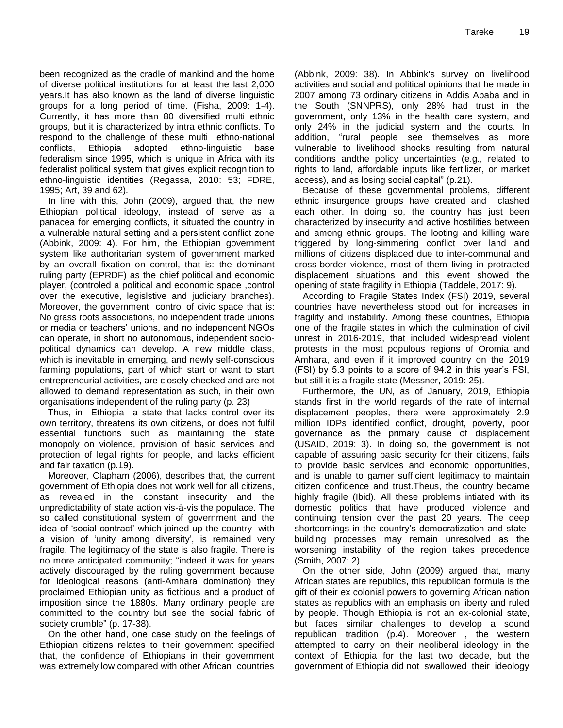been recognized as the cradle of mankind and the home of diverse political institutions for at least the last 2,000 years.It has also known as the land of diverse linguistic groups for a long period of time. (Fisha, 2009: 1-4). Currently, it has more than 80 diversified multi ethnic groups, but it is characterized by intra ethnic conflicts. To respond to the challenge of these multi ethno-national conflicts, Ethiopia adopted ethno-linguistic base federalism since 1995, which is unique in Africa with its federalist political system that gives explicit recognition to ethno-linguistic identities (Regassa, 2010: 53; FDRE, 1995; Art, 39 and 62)*.*

In line with this, John (2009), argued that, the new Ethiopian political ideology, instead of serve as a panacea for emerging conflicts, it situated the country in a vulnerable natural setting and a persistent conflict zone (Abbink, 2009: 4). For him, the Ethiopian government system like authoritarian system of government marked by an overall fixation on control, that is: the dominant ruling party (EPRDF) as the chief political and economic player, (controled a political and economic space ,control over the executive, legislstive and judiciary branches). Moreover, the government control of civic space that is: No grass roots associations, no independent trade unions or media or teachers" unions, and no independent NGOs can operate, in short no autonomous, independent sociopolitical dynamics can develop. A new middle class, which is inevitable in emerging, and newly self-conscious farming populations, part of which start or want to start entrepreneurial activities, are closely checked and are not allowed to demand representation as such, in their own organisations independent of the ruling party (p. 23)

Thus, in Ethiopia a state that lacks control over its own territory, threatens its own citizens, or does not fulfil essential functions such as maintaining the state monopoly on violence, provision of basic services and protection of legal rights for people, and lacks efficient and fair taxation (p.19).

Moreover, Clapham (2006), describes that, the current government of Ethiopia does not work well for all citizens, as revealed in the constant insecurity and the unpredictability of state action vis-à-vis the populace. The so called constitutional system of government and the idea of "social contract" which joined up the country with a vision of 'unity among diversity', is remained very fragile. The legitimacy of the state is also fragile. There is no more anticipated community; "indeed it was for years actively discouraged by the ruling government because for ideological reasons (anti-Amhara domination) they proclaimed Ethiopian unity as fictitious and a product of imposition since the 1880s. Many ordinary people are committed to the country but see the social fabric of society crumble" (p. 17-38).

On the other hand, one case study on the feelings of Ethiopian citizens relates to their government specified that, the confidence of Ethiopians in their government was extremely low compared with other African countries (Abbink, 2009: 38). In Abbink's survey on livelihood activities and social and political opinions that he made in 2007 among 73 ordinary citizens in Addis Ababa and in the South (SNNPRS), only 28% had trust in the government, only 13% in the health care system, and only 24% in the judicial system and the courts. In addition, "rural people see themselves as more vulnerable to livelihood shocks resulting from natural conditions andthe policy uncertainties (e.g., related to rights to land, affordable inputs like fertilizer, or market access), and as losing social capital" (p.21).

Because of these governmental problems, different ethnic insurgence groups have created and clashed each other. In doing so, the country has just been characterized by insecurity and active hostilities between and among ethnic groups. The looting and killing ware triggered by long-simmering conflict over land and millions of citizens displaced due to inter-communal and cross-border violence, most of them living in protracted displacement situations and this event showed the opening of state fragility in Ethiopia (Taddele, 2017: 9).

According to Fragile States Index (FSI) 2019, several countries have nevertheless stood out for increases in fragility and instability. Among these countries, Ethiopia one of the fragile states in which the culmination of civil unrest in 2016-2019, that included widespread violent protests in the most populous regions of Oromia and Amhara, and even if it improved country on the 2019 (FSI) by 5.3 points to a score of 94.2 in this year"s FSI, but still it is a fragile state (Messner, 2019: 25).

Furthermore, the UN, as of January, 2019, Ethiopia stands first in the world regards of the rate of internal displacement peoples, there were approximately 2.9 million IDPs identified conflict, drought, poverty, poor governance as the primary cause of displacement (USAID, 2019: 3). In doing so, the government is not capable of assuring basic security for their citizens, fails to provide basic services and economic opportunities, and is unable to garner sufficient legitimacy to maintain citizen confidence and trust.Theus, the country became highly fragile (Ibid). All these problems intiated with its domestic politics that have produced violence and continuing tension over the past 20 years. The deep shortcomings in the country"s democratization and statebuilding processes may remain unresolved as the worsening instability of the region takes precedence (Smith, 2007: 2).

On the other side, John (2009) argued that, many African states are republics, this republican formula is the gift of their ex colonial powers to governing African nation states as republics with an emphasis on liberty and ruled by people. Though Ethiopia is not an ex-colonial state, but faces similar challenges to develop a sound republican tradition (p.4). Moreover , the western attempted to carry on their neoliberal ideology in the context of Ethiopia for the last two decade, but the government of Ethiopia did not swallowed their ideology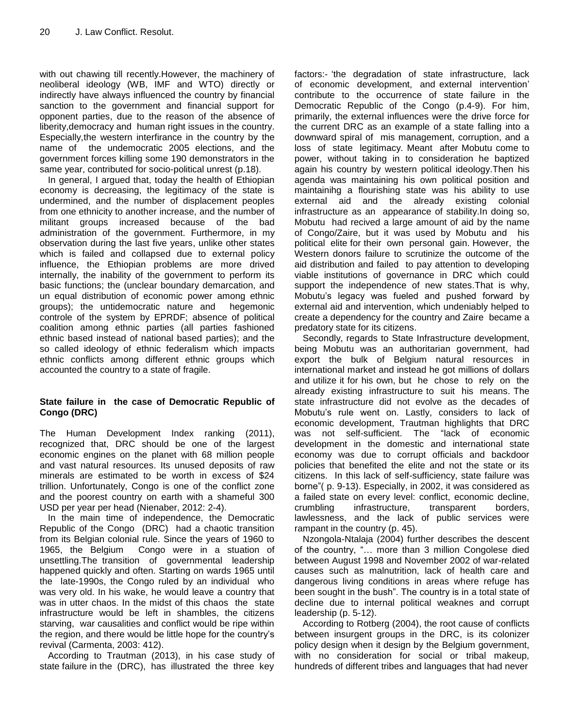with out chawing till recently.However, the machinery of neoliberal ideology (WB, IMF and WTO) directly or indirectly have always influenced the country by financial sanction to the government and financial support for opponent parties, due to the reason of the absence of liberity,democracy and human right issues in the country. Especially,the western interfirance in the country by the name of the undemocratic 2005 elections, and the government forces killing some 190 demonstrators in the same year, contributed for socio-political unrest (p.18).

In general, I argued that, today the health of Ethiopian economy is decreasing, the legitimacy of the state is undermined, and the number of displacement peoples from one ethnicity to another increase, and the number of militant groups increased because of the bad administration of the government. Furthermore, in my observation during the last five years, unlike other states which is failed and collapsed due to external policy influence, the Ethiopian problems are more drived internally, the inability of the government to perform its basic functions; the (unclear boundary demarcation, and un equal distribution of economic power among ethnic groups); the untidemocratic nature and hegemonic controle of the system by EPRDF; absence of political coalition among ethnic parties (all parties fashioned ethnic based instead of national based parties); and the so called ideology of ethnic federalism which impacts ethnic conflicts among different ethnic groups which accounted the country to a state of fragile.

#### **State failure in the case of Democratic Republic of Congo (DRC)**

The Human Development Index ranking (2011), recognized that, DRC should be one of the largest economic engines on the planet with 68 million people and vast natural resources. Its unused deposits of raw minerals are estimated to be worth in excess of \$24 trillion. Unfortunately, Congo is one of the conflict zone and the poorest country on earth with a shameful 300 USD per year per head (Nienaber, 2012: 2-4).

In the main time of independence, the Democratic Republic of the Congo (DRC) had a chaotic transition from its Belgian colonial rule. Since the years of 1960 to 1965, the Belgium Congo were in a stuation of unsettling.The transition of governmental leadership happened quickly and often. Starting on wards 1965 until the late-1990s, the Congo ruled by an individual who was very old. In his wake, he would leave a country that was in utter chaos. In the midst of this chaos the state infrastructure would be left in shambles, the citizens starving, war causalities and conflict would be ripe within the region, and there would be little hope for the country"s revival (Carmenta, 2003: 412).

According to Trautman (2013), in his case study of state failure in the (DRC), has illustrated the three key

factors:- "the degradation of state infrastructure, lack of economic development, and external intervention" contribute to the occurrence of state failure in the Democratic Republic of the Congo (p.4-9). For him, primarily, the external influences were the drive force for the current DRC as an example of a state falling into a downward spiral of mis management, corruption, and a loss of state legitimacy. Meant after Mobutu come to power, without taking in to consideration he baptized again his country by western political ideology.Then his agenda was maintaining his own political position and maintainihg a flourishing state was his ability to use external aid and the already existing colonial infrastructure as an appearance of stability.In doing so, Mobutu had recived a large amount of aid by the name of Congo/Zaire, but it was used by Mobutu and his political elite for their own personal gain. However, the Western donors failure to scrutinize the outcome of the aid distribution and failed to pay attention to developing viable institutions of governance in DRC which could support the independence of new states.That is why, Mobutu"s legacy was fueled and pushed forward by external aid and intervention, which undeniably helped to create a dependency for the country and Zaire became a predatory state for its citizens.

Secondly, regards to State Infrastructure development, being Mobutu was an authoritarian government, had export the bulk of Belgium natural resources in international market and instead he got millions of dollars and utilize it for his own, but he chose to rely on the already existing infrastructure to suit his means. The state infrastructure did not evolve as the decades of Mobutu"s rule went on. Lastly, considers to lack of economic development, Trautman highlights that DRC was not self-sufficient. The "lack of economic development in the domestic and international state economy was due to corrupt officials and backdoor policies that benefited the elite and not the state or its citizens. In this lack of self-sufficiency, state failure was borne"( p. 9-13). Especially, in 2002, it was considered as a failed state on every level: conflict, economic decline, crumbling infrastructure, transparent borders, lawlessness, and the lack of public services were rampant in the country (p. 45).

Nzongola-Ntalaja (2004) further describes the descent of the country, "… more than 3 million Congolese died between August 1998 and November 2002 of war-related causes such as malnutrition, lack of health care and dangerous living conditions in areas where refuge has been sought in the bush". The country is in a total state of decline due to internal political weaknes and corrupt leadership (p. 5-12).

According to Rotberg (2004), the root cause of conflicts between insurgent groups in the DRC, is its colonizer policy design when it design by the Belgium government, with no consideration for social or tribal makeup, hundreds of different tribes and languages that had never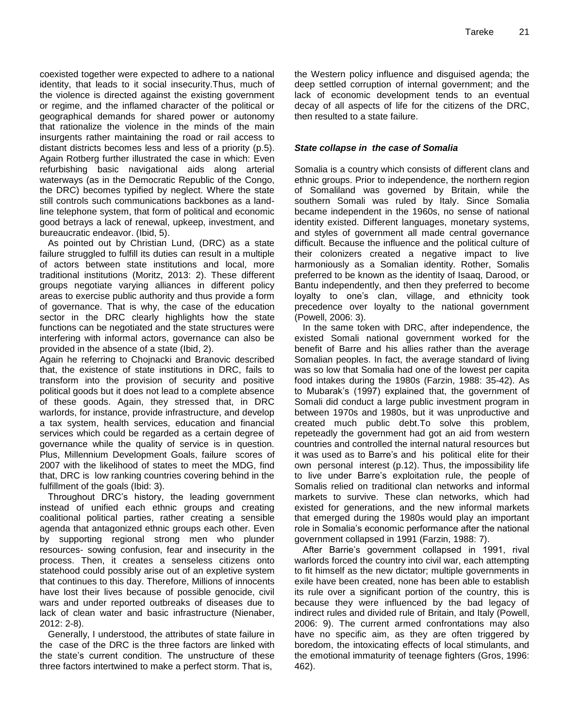coexisted together were expected to adhere to a national identity, that leads to it social insecurity.Thus, much of the violence is directed against the existing government or regime, and the inflamed character of the political or geographical demands for shared power or autonomy that rationalize the violence in the minds of the main insurgents rather maintaining the road or rail access to distant districts becomes less and less of a priority (p.5). Again Rotberg further illustrated the case in which: Even refurbishing basic navigational aids along arterial waterways (as in the Democratic Republic of the Congo, the DRC) becomes typified by neglect. Where the state still controls such communications backbones as a landline telephone system, that form of political and economic good betrays a lack of renewal, upkeep, investment, and bureaucratic endeavor. (Ibid, 5).

As pointed out by Christian Lund, (DRC) as a state failure struggled to fulfill its duties can result in a multiple of actors between state institutions and local, more traditional institutions [\(Moritz,](https://www.e-ir.info/author/johanna-moritz/) 2013: 2). These different groups negotiate varying alliances in different policy areas to exercise public authority and thus provide a form of governance. That is why, the case of the education sector in the DRC clearly highlights how the state functions can be negotiated and the state structures were interfering with informal actors, governance can also be provided in the absence of a state [\(Ibid,](https://www.e-ir.info/author/johanna-moritz/) 2).

Again he referring to Chojnacki and Branovic described that, the existence of state institutions in DRC, fails to transform into the provision of security and positive political goods but it does not lead to a complete absence of these goods. Again, they stressed that, in DRC warlords, for instance, provide infrastructure, and develop a tax system, health services, education and financial services which could be regarded as a certain degree of governance while the quality of service is in question. Plus, Millennium Development Goals, failure scores of 2007 with the likelihood of states to meet the MDG, find that, DRC is low ranking countries covering behind in the fulfillment of the goals (Ibid: 3).

Throughout DRC"s history, the leading government instead of unified each ethnic groups and creating coalitional political parties, rather creating a sensible agenda that antagonized ethnic groups each other. Even by supporting regional strong men who plunder resources- sowing confusion, fear and insecurity in the process. Then, it creates a senseless citizens onto statehood could possibly arise out of an expletive system that continues to this day. Therefore, Millions of innocents have lost their lives because of possible genocide, civil wars and under reported outbreaks of diseases due to lack of clean water and basic infrastructure (Nienaber, 2012: 2-8).

Generally, I understood, the attributes of state failure in the case of the DRC is the three factors are linked with the state"s current condition. The unstructure of these three factors intertwined to make a perfect storm. That is,

the Western policy influence and disguised agenda; the deep settled corruption of internal government; and the lack of economic development tends to an eventual decay of all aspects of life for the citizens of the DRC, then resulted to a state failure.

#### *State collapse in the case of Somalia*

Somalia is a country which consists of different clans and ethnic groups. Prior to independence, the northern region of Somaliland was governed by Britain, while the southern Somali was ruled by Italy. Since Somalia became independent in the 1960s, no sense of national identity existed. Different languages, monetary systems, and styles of government all made central governance difficult. Because the influence and the political culture of their colonizers created a negative impact to live harmoniously as a Somalian identity. Rother, Somalis preferred to be known as the identity of Isaaq, Darood, or Bantu independently, and then they preferred to become loyalty to one"s clan, village, and ethnicity took precedence over loyalty to the national government (Powell, 2006: 3).

In the same token with DRC, after independence, the existed Somali national government worked for the benefit of Barre and his allies rather than the average Somalian peoples. In fact, the average standard of living was so low that Somalia had one of the lowest per capita food intakes during the 1980s (Farzin, 1988: 35-42). As to Mubarak"s (1997) explained that, the government of Somali did conduct a large public investment program in between 1970s and 1980s, but it was unproductive and created much public debt.To solve this problem, repeteadly the government had got an aid from western countries and controlled the internal natural resources but it was used as to Barre's and his political elite for their own personal interest (p.12). Thus, the impossibility life to live under Barre"s exploitation rule, the people of Somalis relied on traditional clan networks and informal markets to survive. These clan networks, which had existed for generations, and the new informal markets that emerged during the 1980s would play an important role in Somalia"s economic performance after the national government collapsed in 1991 (Farzin, 1988: 7).

After Barrie's government collapsed in 1991, rival warlords forced the country into civil war, each attempting to fit himself as the new dictator; multiple governments in exile have been created, none has been able to establish its rule over a significant portion of the country, this is because they were influenced by the bad legacy of indirect rules and divided rule of Britain, and Italy (Powell, 2006: 9). The current armed confrontations may also have no specific aim, as they are often triggered by boredom, the intoxicating effects of local stimulants, and the emotional immaturity of teenage fighters (Gros, 1996: 462).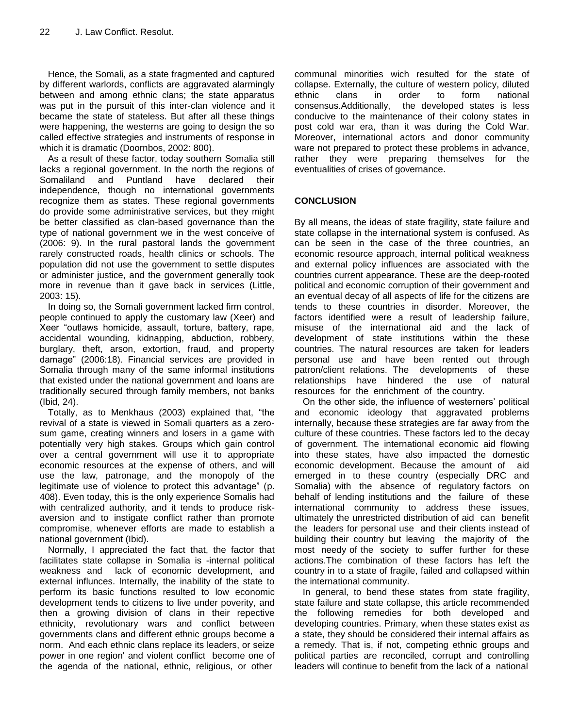Hence, the Somali, as a state fragmented and captured by different warlords, conflicts are aggravated alarmingly between and among ethnic clans; the state apparatus was put in the pursuit of this inter-clan violence and it became the state of stateless. But after all these things were happening, the westerns are going to design the so called effective strategies and instruments of response in which it is dramatic (Doornbos, 2002: 800).

As a result of these factor, today southern Somalia still lacks a regional government. In the north the regions of Somaliland and Puntland have declared their independence, though no international governments recognize them as states. These regional governments do provide some administrative services, but they might be better classified as clan-based governance than the type of national government we in the west conceive of (2006: 9). In the rural pastoral lands the government rarely constructed roads, health clinics or schools. The population did not use the government to settle disputes or administer justice, and the government generally took more in revenue than it gave back in services (Little, 2003: 15).

In doing so, the Somali government lacked firm control, people continued to apply the customary law (Xeer) and Xeer "outlaws homicide, assault, torture, battery, rape, accidental wounding, kidnapping, abduction, robbery, burglary, theft, arson, extortion, fraud, and property damage" (2006:18). Financial services are provided in Somalia through many of the same informal institutions that existed under the national government and loans are traditionally secured through family members, not banks (Ibid, 24).

Totally, as to Menkhaus (2003) explained that, "the revival of a state is viewed in Somali quarters as a zerosum game, creating winners and losers in a game with potentially very high stakes. Groups which gain control over a central government will use it to appropriate economic resources at the expense of others, and will use the law, patronage, and the monopoly of the legitimate use of violence to protect this advantage" (p. 408). Even today, this is the only experience Somalis had with centralized authority, and it tends to produce riskaversion and to instigate conflict rather than promote compromise, whenever efforts are made to establish a national government (Ibid).

Normally, I appreciated the fact that, the factor that facilitates state collapse in Somalia is -internal political weakness and lack of economic development, and external influnces. Internally, the inability of the state to perform its basic functions resulted to low economic development tends to citizens to live under poverity, and then a growing division of clans in their repective ethnicity, revolutionary wars and conflict between governments clans and different ethnic groups become a norm. And each ethnic clans replace its leaders, or seize power in one region' and violent conflict become one of the agenda of the national, ethnic, religious, or other

communal minorities wich resulted for the state of collapse. Externally, the culture of western policy, diluted ethnic clans in order to form national consensus.Additionally, the developed states is less conducive to the maintenance of their colony states in post cold war era, than it was during the Cold War. Moreover, international actors and donor community ware not prepared to protect these problems in advance, rather they were preparing themselves for the eventualities of crises of governance.

#### **CONCLUSION**

By all means, the ideas of state fragility, state failure and state collapse in the international system is confused. As can be seen in the case of the three countries, an economic resource approach, internal political weakness and external policy influences are associated with the countries current appearance. These are the deep-rooted political and economic corruption of their government and an eventual decay of all aspects of life for the citizens are tends to these countries in disorder. Moreover, the factors identified were a result of leadership failure, misuse of the international aid and the lack of development of state institutions within the these countries. The natural resources are taken for leaders personal use and have been rented out through patron/client relations. The developments of these relationships have hindered the use of natural resources for the enrichment of the country.

On the other side, the influence of westerners" political and economic ideology that aggravated problems internally, because these strategies are far away from the culture of these countries. These factors led to the decay of government. The international economic aid flowing into these states, have also impacted the domestic economic development. Because the amount of aid emerged in to these country (especially DRC and Somalia) with the absence of regulatory factors on behalf of lending institutions and the failure of these international community to address these issues, ultimately the unrestricted distribution of aid can benefit the leaders for personal use and their clients instead of building their country but leaving the majority of the most needy of the society to suffer further for these actions.The combination of these factors has left the country in to a state of fragile, failed and collapsed within the international community.

In general, to bend these states from state fragility, state failure and state collapse, this article recommended the following remedies for both developed and developing countries. Primary, when these states exist as a state, they should be considered their internal affairs as a remedy. That is, if not, competing ethnic groups and political parties are reconciled, corrupt and controlling leaders will continue to benefit from the lack of a national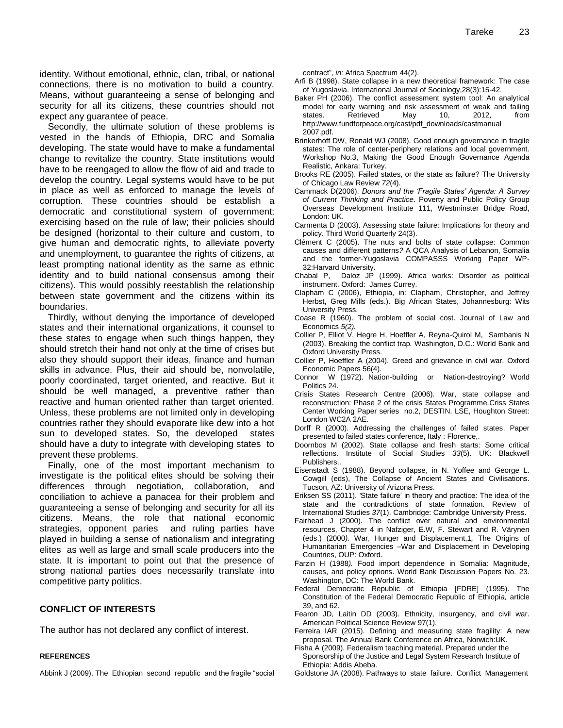identity. Without emotional, ethnic, clan, tribal, or national connections, there is no motivation to build a country. Means, without guaranteeing a sense of belonging and security for all its citizens, these countries should not expect any guarantee of peace.

Secondly, the ultimate solution of these problems is vested in the hands of Ethiopia, DRC and Somalia developing. The state would have to make a fundamental change to revitalize the country. State institutions would have to be reengaged to allow the flow of aid and trade to develop the country. Legal systems would have to be put in place as well as enforced to manage the levels of corruption. These countries should be establish a democratic and constitutional system of government; exercising based on the rule of law; their policies should be designed (horizontal to their culture and custom, to give human and democratic rights, to alleviate poverty and unemployment, to guarantee the rights of citizens, at least prompting national identity as the same as ethnic identity and to build national consensus among their citizens). This would possibly reestablish the relationship between state government and the citizens within its boundaries.

Thirdly, without denying the importance of developed states and their international organizations, it counsel to these states to engage when such things happen, they should stretch their hand not only at the time of crises but also they should support their ideas, finance and human skills in advance. Plus, their aid should be, nonvolatile, poorly coordinated, target oriented, and reactive. But it should be well managed, a preventive rather than reactive and human oriented rather than target oriented. Unless, these problems are not limited only in developing countries rather they should evaporate like dew into a hot sun to developed states. So, the developed states should have a duty to integrate with developing states to prevent these problems.

Finally, one of the most important mechanism to investigate is the political elites should be solving their differences through negotiation, collaboration, and conciliation to achieve a panacea for their problem and guaranteeing a sense of belonging and security for all its citizens. Means, the role that national economic strategies, opponent paries and ruling parties have played in building a sense of nationalism and integrating elites as well as large and small scale producers into the state. It is important to point out that the presence of strong national parties does necessarily translate into competitive party politics.

#### **CONFLICT OF INTERESTS**

The author has not declared any conflict of interest.

#### **REFERENCES**

Abbink J (2009). The Ethiopian second republic and the fragile "social

contract", *in:* Africa Spectrum 44(2).

- Arfi B (1998). State collapse in a new theoretical framework: The case of Yugoslavia. International Journal of Sociology,28(3):15-42.
- Baker PH (2006). The conflict assessment system tool: An analytical model for early warning and risk assessment of weak and failing states. Retrieved May 10, 2012, from [http://www.fundforpeace.org/cast/pdf\\_downloads/castmanual](http://www.fundforpeace.org/cast/pdf_downloads/castmanual%202007.pdf)  [2007.pdf.](http://www.fundforpeace.org/cast/pdf_downloads/castmanual%202007.pdf)
- Brinkerhoff DW, Ronald WJ (2008). Good enough governance in fragile states: The role of center-periphery relations and local government. Workshop No.3, Making the Good Enough Governance Agenda Realistic, Ankara: Turkey.
- Brooks RE (2005). Failed states, or the state as failure? The University of Chicago Law Review *72*(4).
- Cammack D(2006). *Donors and the "Fragile States" Agenda: A Survey of Current Thinking and Practice*. Poverty and Public Policy Group Overseas Development Institute 111, Westminster Bridge Road, London: UK.
- Carmenta D (2003). Assessing state failure: Implications for theory and policy. Third World Quarterly 24(3).
- Clément C (2005). The nuts and bolts of state collapse: Common causes and different patterns*?* A QCA Analysis of Lebanon, Somalia and the former-Yugoslavia COMPASSS Working Paper WP-32:Harvard University.
- Chabal P, Daloz JP (1999). Africa works: Disorder as political instrument. Oxford: James Currey.
- Clapham C (2006), Ethiopia, in: Clapham, Christopher, and Jeffrey Herbst, Greg Mills (eds.). Big African States, Johannesburg: Wits University Press.
- Coase R (1960). The problem of social cost. Journal of Law and Economics *5(2).*
- Collier P, Elliot V, Hegre H, Hoeffler A, Reyna-Quirol M, Sambanis N (2003). Breaking the conflict trap*.* Washington, D.C.: World Bank and Oxford University Press.
- Collier P, Hoeffler A (2004). Greed and grievance in civil war. Oxford Economic Papers 56(4).
- Connor W (1972). Nation-building or Nation-destroying? World Politics 24.
- Crisis States Research Centre (2006). War, state collapse and reconstruction: Phase 2 of the crisis States Programme*.*Criss States Center Working Paper series no.2, DESTIN, LSE, Houghton Street: London WC2A 2AE.
- Dorff R (2000). Addressing the challenges of failed states. Paper presented to failed states conference, Italy : Florence,.
- Doornbos M (2002). State collapse and fresh starts: Some critical reflections. Institute of Social Studies *33*(5). UK: Blackwell Publishers..
- Eisenstadt S (1988). Beyond collapse, in N. Yoffee and George L. Cowgill (eds), The Collapse of Ancient States and Civilisations. Tucson, AZ: University of Arizona Press.
- Eriksen SS (2011). *"*State failure" in theory and practice: The idea of the state and the contradictions of state formation. Review of International Studies *37*(1). Cambridge: Cambridge University Press.
- Fairhead J (2000). The conflict over natural and environmental resources, Chapter 4 in Nafziger, E.W, F. Stewart and R. Värynen (eds.) (2000*)*. War, Hunger and Displacement,1*,* The Origins of Humanitarian Emergencies –War and Displacement in Developing Countries, OUP: Oxford.
- Farzin H (1988*).* Food import dependence in Somalia: Magnitude, causes, and policy options. World Bank Discussion Papers No. 23. Washington, DC: The World Bank.
- Federal Democratic Republic of Ethiopia [FDRE] (1995). The Constitution of the Federal Democratic Republic of Ethiopi*a,* article 39, and 62.
- Fearon JD, Laitin DD (2003). Ethnicity, insurgency, and civil war. American Political Science Review 97(1).
- Ferreira IAR (2015). Defining and measuring state fragility: A new proposal*.* The Annual Bank Conference on Africa, Norwich:UK.
- Fisha A (2009). Federalism teaching material. Prepared under the Sponsorship of the Justice and Legal System Research Institute of Ethiopia: Addis Abeba.
- Goldstone JA (2008). Pathways to state failure. Conflict Management